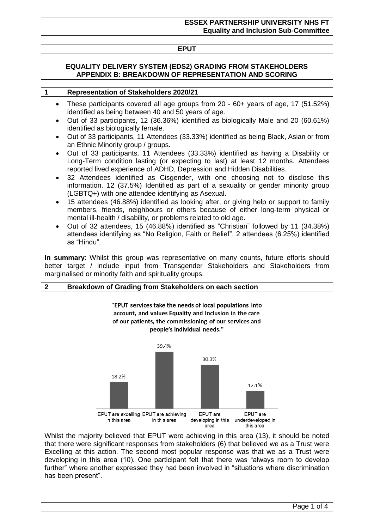# **EPUT**

### **EQUALITY DELIVERY SYSTEM (EDS2) GRADING FROM STAKEHOLDERS APPENDIX B: BREAKDOWN OF REPRESENTATION AND SCORING**

#### **1 Representation of Stakeholders 2020/21**

- These participants covered all age groups from 20 60+ years of age, 17 (51.52%) identified as being between 40 and 50 years of age.
- Out of 33 participants, 12 (36.36%) identified as biologically Male and 20 (60.61%) identified as biologically female.
- Out of 33 participants, 11 Attendees (33.33%) identified as being Black, Asian or from an Ethnic Minority group / groups.
- Out of 33 participants, 11 Attendees (33.33%) identified as having a Disability or Long-Term condition lasting (or expecting to last) at least 12 months. Attendees reported lived experience of ADHD, Depression and Hidden Disabilities.
- 32 Attendees identified as Cisgender, with one choosing not to disclose this information. 12 (37.5%) Identified as part of a sexuality or gender minority group (LGBTQ+) with one attendee identifying as Asexual.
- 15 attendees (46.88%) identified as looking after, or giving help or support to family members, friends, neighbours or others because of either long-term physical or mental ill-health / disability, or problems related to old age.
- Out of 32 attendees, 15 (46.88%) identified as "Christian" followed by 11 (34.38%) attendees identifying as "No Religion, Faith or Belief". 2 attendees (6.25%) identified as "Hindu".

**In summary**: Whilst this group was representative on many counts, future efforts should better target / include input from Transgender Stakeholders and Stakeholders from marginalised or minority faith and spirituality groups.

## **2 Breakdown of Grading from Stakeholders on each section**

"EPUT services take the needs of local populations into account, and values Equality and Inclusion in the care of our patients, the commissioning of our services and people's individual needs."



Whilst the majority believed that EPUT were achieving in this area (13), it should be noted that there were significant responses from stakeholders (6) that believed we as a Trust were Excelling at this action. The second most popular response was that we as a Trust were developing in this area (10). One participant felt that there was "always room to develop further" where another expressed they had been involved in "situations where discrimination has been present".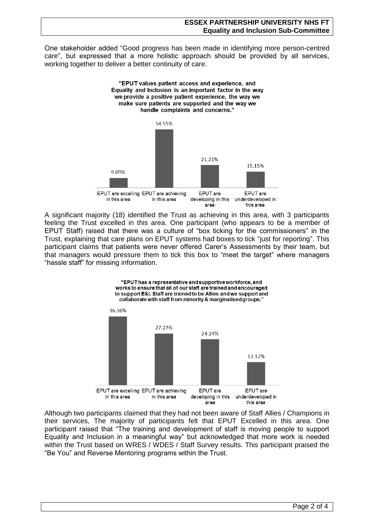One stakeholder added "Good progress has been made in identifying more person-centred care", but expressed that a more holistic approach should be provided by all services, working together to deliver a better continuity of care.



A significant majority (18) identified the Trust as achieving in this area, with 3 participants feeling the Trust excelled in this area. One participant (who appears to be a member of EPUT Staff) raised that there was a culture of "box ticking for the commissioners" in the Trust, explaining that care plans on EPUT systems had boxes to tick "just for reporting". This participant claims that patients were never offered Carer's Assessments by their team, but that managers would pressure them to tick this box to "meet the target" where managers "hassle staff" for missing information.



Although two participants claimed that they had not been aware of Staff Allies / Champions in their services, The majority of participants felt that EPUT Excelled in this area. One participant raised that "The training and development of staff is moving people to support Equality and Inclusion in a meaningful way" but acknowledged that more work is needed within the Trust based on WRES / WDES / Staff Survey results. This participant praised the "Be You" and Reverse Mentoring programs within the Trust.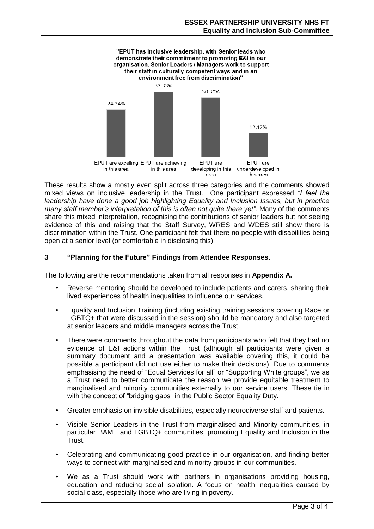

These results show a mostly even split across three categories and the comments showed mixed views on inclusive leadership in the Trust. One participant expressed *"I feel the leadership have done a good job highlighting Equality and Inclusion Issues, but in practice many staff member's interpretation of this is often not quite there yet"*. Many of the comments share this mixed interpretation, recognising the contributions of senior leaders but not seeing evidence of this and raising that the Staff Survey, WRES and WDES still show there is discrimination within the Trust. One participant felt that there no people with disabilities being open at a senior level (or comfortable in disclosing this).

## **3 "Planning for the Future" Findings from Attendee Responses.**

The following are the recommendations taken from all responses in **Appendix A.**

- Reverse mentoring should be developed to include patients and carers, sharing their lived experiences of health inequalities to influence our services.
- Equality and Inclusion Training (including existing training sessions covering Race or LGBTQ+ that were discussed in the session) should be mandatory and also targeted at senior leaders and middle managers across the Trust.
- There were comments throughout the data from participants who felt that they had no evidence of E&I actions within the Trust (although all participants were given a summary document and a presentation was available covering this, it could be possible a participant did not use either to make their decisions). Due to comments emphasising the need of "Equal Services for all" or "Supporting White groups", we as a Trust need to better communicate the reason we provide equitable treatment to marginalised and minority communities externally to our service users. These tie in with the concept of "bridging gaps" in the Public Sector Equality Duty.
- Greater emphasis on invisible disabilities, especially neurodiverse staff and patients.
- Visible Senior Leaders in the Trust from marginalised and Minority communities, in particular BAME and LGBTQ+ communities, promoting Equality and Inclusion in the Trust.
- Celebrating and communicating good practice in our organisation, and finding better ways to connect with marginalised and minority groups in our communities.
- We as a Trust should work with partners in organisations providing housing, education and reducing social isolation. A focus on health inequalities caused by social class, especially those who are living in poverty.